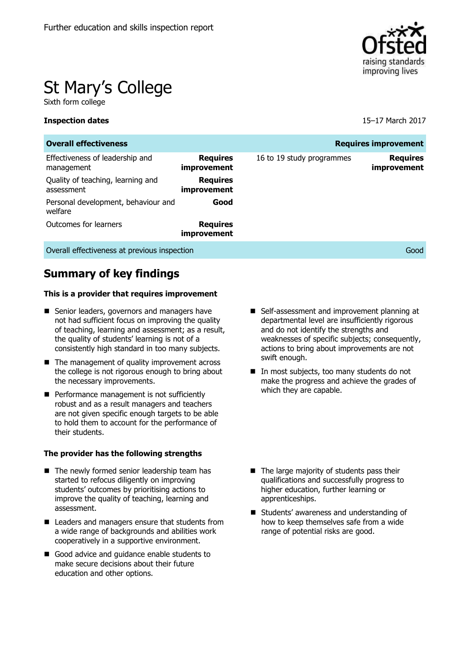

# St Mary's College

Sixth form college

#### **Inspection dates** 15–17 March 2017

| <b>Overall effectiveness</b><br><b>Requires improvement</b> |                                |                           |                                       |  |
|-------------------------------------------------------------|--------------------------------|---------------------------|---------------------------------------|--|
| Effectiveness of leadership and<br>management               | <b>Requires</b><br>improvement | 16 to 19 study programmes | <b>Requires</b><br><i>improvement</i> |  |
| Quality of teaching, learning and<br>assessment             | <b>Requires</b><br>improvement |                           |                                       |  |
| Personal development, behaviour and<br>welfare              | Good                           |                           |                                       |  |
| Outcomes for learners                                       | <b>Requires</b><br>improvement |                           |                                       |  |
| Overall effectiveness at previous inspection                |                                |                           | Good                                  |  |

**Summary of key findings**

#### **This is a provider that requires improvement**

- Senior leaders, governors and managers have not had sufficient focus on improving the quality of teaching, learning and assessment; as a result, the quality of students' learning is not of a consistently high standard in too many subjects.
- The management of quality improvement across the college is not rigorous enough to bring about the necessary improvements.
- Performance management is not sufficiently robust and as a result managers and teachers are not given specific enough targets to be able to hold them to account for the performance of their students.

#### **The provider has the following strengths**

- $\blacksquare$  The newly formed senior leadership team has started to refocus diligently on improving students' outcomes by prioritising actions to improve the quality of teaching, learning and assessment.
- Leaders and managers ensure that students from a wide range of backgrounds and abilities work cooperatively in a supportive environment.
- Good advice and quidance enable students to make secure decisions about their future education and other options.
- Self-assessment and improvement planning at departmental level are insufficiently rigorous and do not identify the strengths and weaknesses of specific subjects; consequently, actions to bring about improvements are not swift enough.
- In most subjects, too many students do not make the progress and achieve the grades of which they are capable.

- $\blacksquare$  The large majority of students pass their qualifications and successfully progress to higher education, further learning or apprenticeships.
- Students' awareness and understanding of how to keep themselves safe from a wide range of potential risks are good.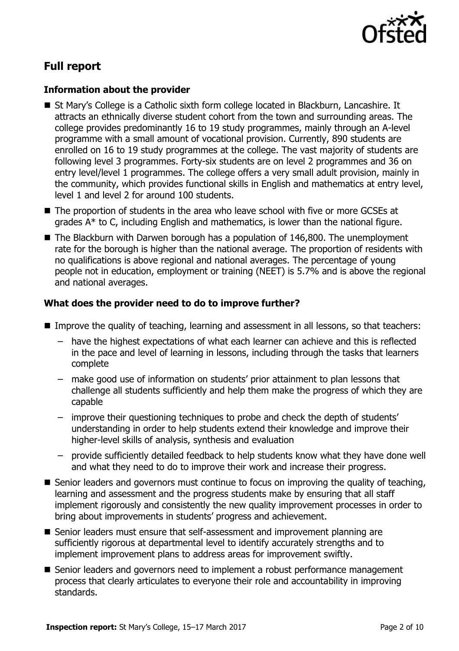

# **Full report**

### **Information about the provider**

- St Mary's College is a Catholic sixth form college located in Blackburn, Lancashire. It attracts an ethnically diverse student cohort from the town and surrounding areas. The college provides predominantly 16 to 19 study programmes, mainly through an A-level programme with a small amount of vocational provision. Currently, 890 students are enrolled on 16 to 19 study programmes at the college. The vast majority of students are following level 3 programmes. Forty-six students are on level 2 programmes and 36 on entry level/level 1 programmes. The college offers a very small adult provision, mainly in the community, which provides functional skills in English and mathematics at entry level, level 1 and level 2 for around 100 students.
- The proportion of students in the area who leave school with five or more GCSEs at grades  $A^*$  to C, including English and mathematics, is lower than the national figure.
- The Blackburn with Darwen borough has a population of 146,800. The unemployment rate for the borough is higher than the national average. The proportion of residents with no qualifications is above regional and national averages. The percentage of young people not in education, employment or training (NEET) is 5.7% and is above the regional and national averages.

### **What does the provider need to do to improve further?**

- Improve the quality of teaching, learning and assessment in all lessons, so that teachers:
	- have the highest expectations of what each learner can achieve and this is reflected in the pace and level of learning in lessons, including through the tasks that learners complete
	- make good use of information on students' prior attainment to plan lessons that challenge all students sufficiently and help them make the progress of which they are capable
	- improve their questioning techniques to probe and check the depth of students' understanding in order to help students extend their knowledge and improve their higher-level skills of analysis, synthesis and evaluation
	- provide sufficiently detailed feedback to help students know what they have done well and what they need to do to improve their work and increase their progress.
- Senior leaders and governors must continue to focus on improving the quality of teaching, learning and assessment and the progress students make by ensuring that all staff implement rigorously and consistently the new quality improvement processes in order to bring about improvements in students' progress and achievement.
- Senior leaders must ensure that self-assessment and improvement planning are sufficiently rigorous at departmental level to identify accurately strengths and to implement improvement plans to address areas for improvement swiftly.
- Senior leaders and governors need to implement a robust performance management process that clearly articulates to everyone their role and accountability in improving standards.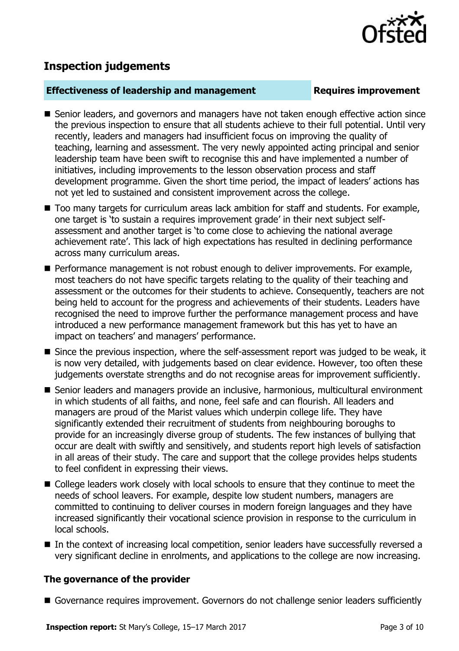

## **Inspection judgements**

#### **Effectiveness of leadership and management Requires improvement**

- Senior leaders, and governors and managers have not taken enough effective action since the previous inspection to ensure that all students achieve to their full potential. Until very recently, leaders and managers had insufficient focus on improving the quality of teaching, learning and assessment. The very newly appointed acting principal and senior leadership team have been swift to recognise this and have implemented a number of initiatives, including improvements to the lesson observation process and staff development programme. Given the short time period, the impact of leaders' actions has not yet led to sustained and consistent improvement across the college.
- Too many targets for curriculum areas lack ambition for staff and students. For example, one target is 'to sustain a requires improvement grade' in their next subject selfassessment and another target is 'to come close to achieving the national average achievement rate'. This lack of high expectations has resulted in declining performance across many curriculum areas.
- Performance management is not robust enough to deliver improvements. For example, most teachers do not have specific targets relating to the quality of their teaching and assessment or the outcomes for their students to achieve. Consequently, teachers are not being held to account for the progress and achievements of their students. Leaders have recognised the need to improve further the performance management process and have introduced a new performance management framework but this has yet to have an impact on teachers' and managers' performance.
- Since the previous inspection, where the self-assessment report was judged to be weak, it is now very detailed, with judgements based on clear evidence. However, too often these judgements overstate strengths and do not recognise areas for improvement sufficiently.
- Senior leaders and managers provide an inclusive, harmonious, multicultural environment in which students of all faiths, and none, feel safe and can flourish. All leaders and managers are proud of the Marist values which underpin college life. They have significantly extended their recruitment of students from neighbouring boroughs to provide for an increasingly diverse group of students. The few instances of bullying that occur are dealt with swiftly and sensitively, and students report high levels of satisfaction in all areas of their study. The care and support that the college provides helps students to feel confident in expressing their views.
- College leaders work closely with local schools to ensure that they continue to meet the needs of school leavers. For example, despite low student numbers, managers are committed to continuing to deliver courses in modern foreign languages and they have increased significantly their vocational science provision in response to the curriculum in local schools.
- In the context of increasing local competition, senior leaders have successfully reversed a very significant decline in enrolments, and applications to the college are now increasing.

#### **The governance of the provider**

Governance requires improvement. Governors do not challenge senior leaders sufficiently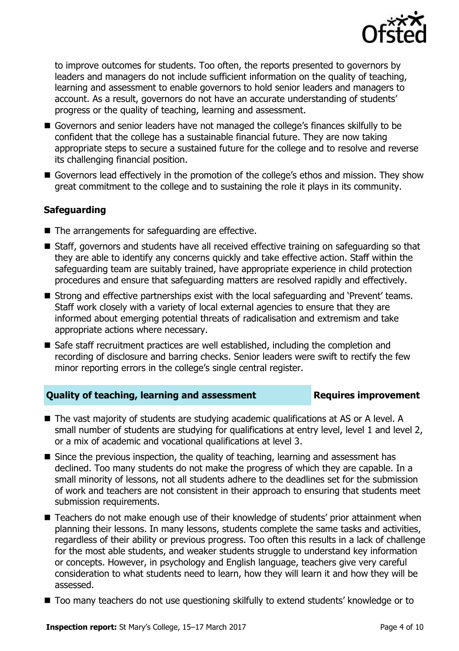

to improve outcomes for students. Too often, the reports presented to governors by leaders and managers do not include sufficient information on the quality of teaching, learning and assessment to enable governors to hold senior leaders and managers to account. As a result, governors do not have an accurate understanding of students' progress or the quality of teaching, learning and assessment.

- Governors and senior leaders have not managed the college's finances skilfully to be confident that the college has a sustainable financial future. They are now taking appropriate steps to secure a sustained future for the college and to resolve and reverse its challenging financial position.
- Governors lead effectively in the promotion of the college's ethos and mission. They show great commitment to the college and to sustaining the role it plays in its community.

### **Safeguarding**

- $\blacksquare$  The arrangements for safeguarding are effective.
- Staff, governors and students have all received effective training on safeguarding so that they are able to identify any concerns quickly and take effective action. Staff within the safeguarding team are suitably trained, have appropriate experience in child protection procedures and ensure that safeguarding matters are resolved rapidly and effectively.
- Strong and effective partnerships exist with the local safeguarding and 'Prevent' teams. Staff work closely with a variety of local external agencies to ensure that they are informed about emerging potential threats of radicalisation and extremism and take appropriate actions where necessary.
- Safe staff recruitment practices are well established, including the completion and recording of disclosure and barring checks. Senior leaders were swift to rectify the few minor reporting errors in the college's single central register.

### **Quality of teaching, learning and assessment <b>Requires improvement**

- The vast majority of students are studying academic qualifications at AS or A level. A small number of students are studying for qualifications at entry level, level 1 and level 2, or a mix of academic and vocational qualifications at level 3.
- Since the previous inspection, the quality of teaching, learning and assessment has declined. Too many students do not make the progress of which they are capable. In a small minority of lessons, not all students adhere to the deadlines set for the submission of work and teachers are not consistent in their approach to ensuring that students meet submission requirements.
- Teachers do not make enough use of their knowledge of students' prior attainment when planning their lessons. In many lessons, students complete the same tasks and activities, regardless of their ability or previous progress. Too often this results in a lack of challenge for the most able students, and weaker students struggle to understand key information or concepts. However, in psychology and English language, teachers give very careful consideration to what students need to learn, how they will learn it and how they will be assessed.
- Too many teachers do not use questioning skilfully to extend students' knowledge or to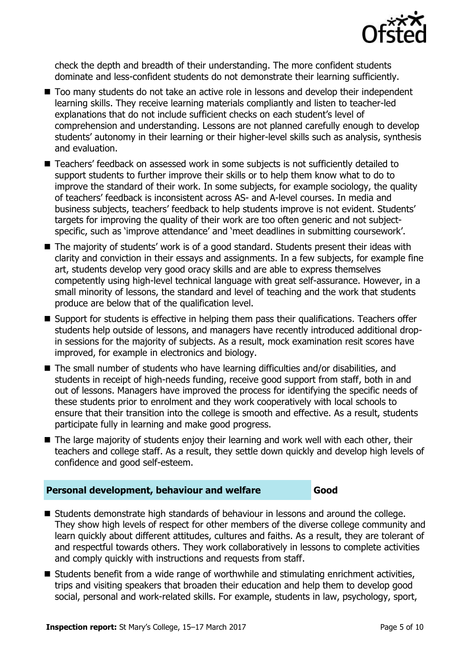

check the depth and breadth of their understanding. The more confident students dominate and less-confident students do not demonstrate their learning sufficiently.

- Too many students do not take an active role in lessons and develop their independent learning skills. They receive learning materials compliantly and listen to teacher-led explanations that do not include sufficient checks on each student's level of comprehension and understanding. Lessons are not planned carefully enough to develop students' autonomy in their learning or their higher-level skills such as analysis, synthesis and evaluation.
- Teachers' feedback on assessed work in some subjects is not sufficiently detailed to support students to further improve their skills or to help them know what to do to improve the standard of their work. In some subjects, for example sociology, the quality of teachers' feedback is inconsistent across AS- and A-level courses. In media and business subjects, teachers' feedback to help students improve is not evident. Students' targets for improving the quality of their work are too often generic and not subjectspecific, such as 'improve attendance' and 'meet deadlines in submitting coursework'.
- The majority of students' work is of a good standard. Students present their ideas with clarity and conviction in their essays and assignments. In a few subjects, for example fine art, students develop very good oracy skills and are able to express themselves competently using high-level technical language with great self-assurance. However, in a small minority of lessons, the standard and level of teaching and the work that students produce are below that of the qualification level.
- Support for students is effective in helping them pass their qualifications. Teachers offer students help outside of lessons, and managers have recently introduced additional dropin sessions for the majority of subjects. As a result, mock examination resit scores have improved, for example in electronics and biology.
- The small number of students who have learning difficulties and/or disabilities, and students in receipt of high-needs funding, receive good support from staff, both in and out of lessons. Managers have improved the process for identifying the specific needs of these students prior to enrolment and they work cooperatively with local schools to ensure that their transition into the college is smooth and effective. As a result, students participate fully in learning and make good progress.
- The large majority of students enjoy their learning and work well with each other, their teachers and college staff. As a result, they settle down quickly and develop high levels of confidence and good self-esteem.

### **Personal development, behaviour and welfare Good**

- Students demonstrate high standards of behaviour in lessons and around the college. They show high levels of respect for other members of the diverse college community and learn quickly about different attitudes, cultures and faiths. As a result, they are tolerant of and respectful towards others. They work collaboratively in lessons to complete activities and comply quickly with instructions and requests from staff.
- Students benefit from a wide range of worthwhile and stimulating enrichment activities, trips and visiting speakers that broaden their education and help them to develop good social, personal and work-related skills. For example, students in law, psychology, sport,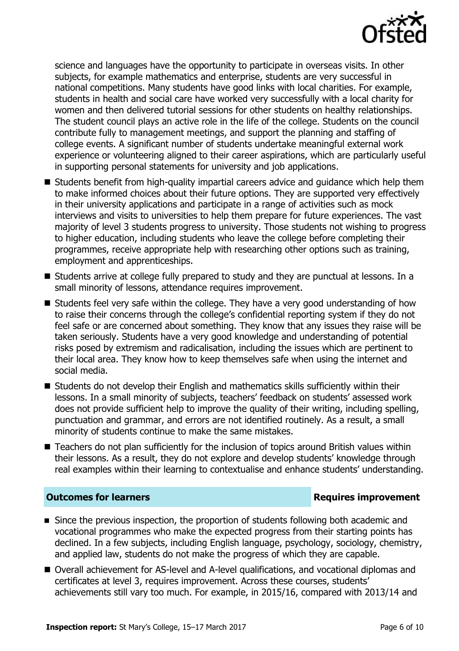

science and languages have the opportunity to participate in overseas visits. In other subjects, for example mathematics and enterprise, students are very successful in national competitions. Many students have good links with local charities. For example, students in health and social care have worked very successfully with a local charity for women and then delivered tutorial sessions for other students on healthy relationships. The student council plays an active role in the life of the college. Students on the council contribute fully to management meetings, and support the planning and staffing of college events. A significant number of students undertake meaningful external work experience or volunteering aligned to their career aspirations, which are particularly useful in supporting personal statements for university and job applications.

- Students benefit from high-quality impartial careers advice and quidance which help them to make informed choices about their future options. They are supported very effectively in their university applications and participate in a range of activities such as mock interviews and visits to universities to help them prepare for future experiences. The vast majority of level 3 students progress to university. Those students not wishing to progress to higher education, including students who leave the college before completing their programmes, receive appropriate help with researching other options such as training, employment and apprenticeships.
- Students arrive at college fully prepared to study and they are punctual at lessons. In a small minority of lessons, attendance requires improvement.
- Students feel very safe within the college. They have a very good understanding of how to raise their concerns through the college's confidential reporting system if they do not feel safe or are concerned about something. They know that any issues they raise will be taken seriously. Students have a very good knowledge and understanding of potential risks posed by extremism and radicalisation, including the issues which are pertinent to their local area. They know how to keep themselves safe when using the internet and social media.
- Students do not develop their English and mathematics skills sufficiently within their lessons. In a small minority of subjects, teachers' feedback on students' assessed work does not provide sufficient help to improve the quality of their writing, including spelling, punctuation and grammar, and errors are not identified routinely. As a result, a small minority of students continue to make the same mistakes.
- Teachers do not plan sufficiently for the inclusion of topics around British values within their lessons. As a result, they do not explore and develop students' knowledge through real examples within their learning to contextualise and enhance students' understanding.

#### **Outcomes for learners Requires improvement**

- Since the previous inspection, the proportion of students following both academic and vocational programmes who make the expected progress from their starting points has declined. In a few subjects, including English language, psychology, sociology, chemistry, and applied law, students do not make the progress of which they are capable.
- Overall achievement for AS-level and A-level qualifications, and vocational diplomas and certificates at level 3, requires improvement. Across these courses, students' achievements still vary too much. For example, in 2015/16, compared with 2013/14 and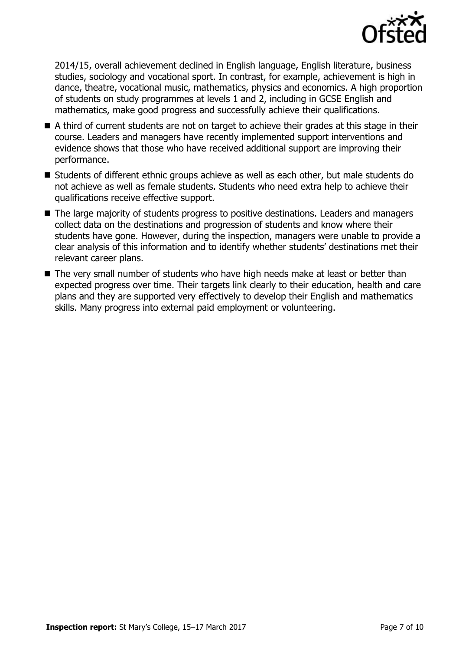

2014/15, overall achievement declined in English language, English literature, business studies, sociology and vocational sport. In contrast, for example, achievement is high in dance, theatre, vocational music, mathematics, physics and economics. A high proportion of students on study programmes at levels 1 and 2, including in GCSE English and mathematics, make good progress and successfully achieve their qualifications.

- A third of current students are not on target to achieve their grades at this stage in their course. Leaders and managers have recently implemented support interventions and evidence shows that those who have received additional support are improving their performance.
- Students of different ethnic groups achieve as well as each other, but male students do not achieve as well as female students. Students who need extra help to achieve their qualifications receive effective support.
- The large majority of students progress to positive destinations. Leaders and managers collect data on the destinations and progression of students and know where their students have gone. However, during the inspection, managers were unable to provide a clear analysis of this information and to identify whether students' destinations met their relevant career plans.
- The very small number of students who have high needs make at least or better than expected progress over time. Their targets link clearly to their education, health and care plans and they are supported very effectively to develop their English and mathematics skills. Many progress into external paid employment or volunteering.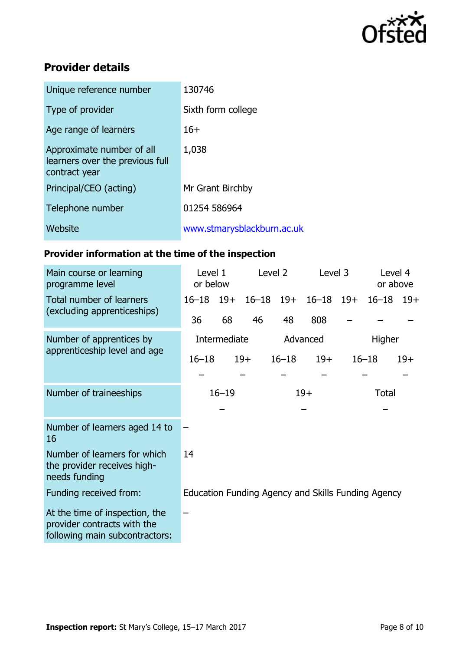

# **Provider details**

| Unique reference number                                                       | 130746                     |  |  |  |
|-------------------------------------------------------------------------------|----------------------------|--|--|--|
| Type of provider                                                              | Sixth form college         |  |  |  |
| Age range of learners                                                         | $16+$                      |  |  |  |
| Approximate number of all<br>learners over the previous full<br>contract year | 1,038                      |  |  |  |
| Principal/CEO (acting)                                                        | Mr Grant Birchby           |  |  |  |
| Telephone number                                                              | 01254 586964               |  |  |  |
| Website                                                                       | www.stmarysblackburn.ac.uk |  |  |  |

# **Provider information at the time of the inspection**

| Main course or learning<br>programme level                                                      | Level 1<br>or below |       | Level 2  |               | Level 3                                            |              | Level 4<br>or above |       |
|-------------------------------------------------------------------------------------------------|---------------------|-------|----------|---------------|----------------------------------------------------|--------------|---------------------|-------|
| Total number of learners<br>(excluding apprenticeships)                                         | $16 - 18$           | $19+$ |          | $16 - 18$ 19+ | $16 - 18$ 19+                                      |              | $16 - 18$           | - 19+ |
|                                                                                                 | 36                  | 68    | 46       | 48            | 808                                                |              |                     |       |
| Number of apprentices by<br>apprenticeship level and age                                        | Intermediate        |       | Advanced |               |                                                    | Higher       |                     |       |
|                                                                                                 | $16 - 18$           |       | $19+$    | $16 - 18$     | $19+$                                              |              | $16 - 18$           | $19+$ |
|                                                                                                 |                     |       |          |               |                                                    |              |                     |       |
| Number of traineeships                                                                          | $16 - 19$           |       |          | $19+$         |                                                    | <b>Total</b> |                     |       |
|                                                                                                 |                     |       |          |               |                                                    |              |                     |       |
| Number of learners aged 14 to<br>16                                                             |                     |       |          |               |                                                    |              |                     |       |
| Number of learners for which<br>the provider receives high-<br>needs funding                    | 14                  |       |          |               |                                                    |              |                     |       |
| Funding received from:                                                                          |                     |       |          |               | Education Funding Agency and Skills Funding Agency |              |                     |       |
| At the time of inspection, the<br>provider contracts with the<br>following main subcontractors: |                     |       |          |               |                                                    |              |                     |       |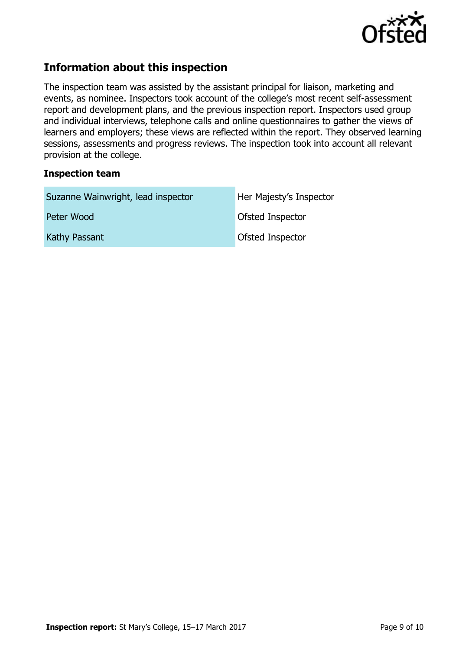

# **Information about this inspection**

The inspection team was assisted by the assistant principal for liaison, marketing and events, as nominee. Inspectors took account of the college's most recent self-assessment report and development plans, and the previous inspection report. Inspectors used group and individual interviews, telephone calls and online questionnaires to gather the views of learners and employers; these views are reflected within the report. They observed learning sessions, assessments and progress reviews. The inspection took into account all relevant provision at the college.

#### **Inspection team**

| Suzanne Wainwright, lead inspector | Her Majesty's Inspector |
|------------------------------------|-------------------------|
| Peter Wood                         | Ofsted Inspector        |
| Kathy Passant                      | Ofsted Inspector        |